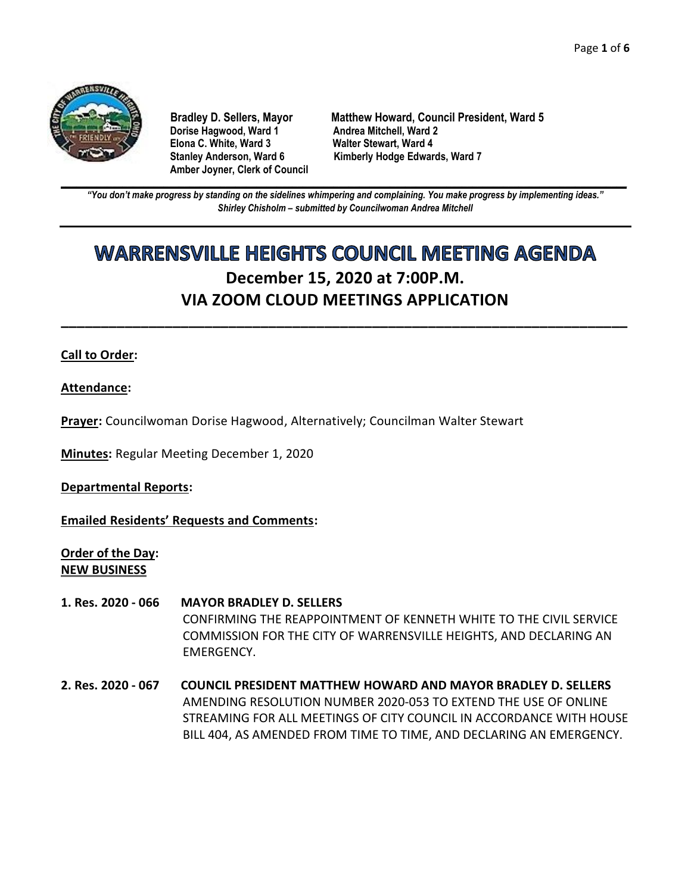

**Dorise Hagwood, Ward 1 Elona C. White, Ward 3 Walter Stewart, Ward 4 Amber Joyner, Clerk of Council**

**Bradley D. Sellers, Mayor Matthew Howard, Council President, Ward 5** Stanley Anderson, Ward 6 Kimberly Hodge Edwards, Ward 7

**\_\_\_\_\_\_\_\_\_\_\_\_\_\_\_\_\_\_\_\_\_\_\_\_\_\_\_\_\_\_\_\_\_\_\_\_\_\_\_\_\_\_\_\_\_\_\_\_\_\_\_\_\_\_\_\_\_\_\_\_\_\_\_\_\_\_\_\_\_\_\_\_\_\_\_\_\_\_\_\_\_\_\_\_\_\_\_\_\_\_\_\_\_\_\_\_\_\_\_\_\_\_\_\_\_\_\_\_\_\_** *"You don't make progress by standing on the sidelines whimpering and complaining. You make progress by implementing ideas." Shirley Chisholm – submitted by Councilwoman Andrea Mitchell*

# **WARRENSVILLE HEIGHTS COUNCIL MEETING AGENDA December 15, 2020 at 7:00P.M. VIA ZOOM CLOUD MEETINGS APPLICATION**

**\_\_\_\_\_\_\_\_\_\_\_\_\_\_\_\_\_\_\_\_\_\_\_\_\_\_\_\_\_\_\_\_\_\_\_\_\_\_\_\_\_\_\_\_\_\_\_\_\_\_\_\_\_\_\_\_\_\_\_\_\_\_\_\_\_\_\_\_\_\_\_**

# **Call to Order:**

**Attendance:**

**Prayer:** Councilwoman Dorise Hagwood, Alternatively; Councilman Walter Stewart

**Minutes:** Regular Meeting December 1, 2020

**Departmental Reports:**

**Emailed Residents' Requests and Comments:**

**Order of the Day: NEW BUSINESS**

- **1. Res. 2020 - 066 MAYOR BRADLEY D. SELLERS** CONFIRMING THE REAPPOINTMENT OF KENNETH WHITE TO THE CIVIL SERVICE COMMISSION FOR THE CITY OF WARRENSVILLE HEIGHTS, AND DECLARING AN EMERGENCY.
- **2. Res. 2020 - 067 COUNCIL PRESIDENT MATTHEW HOWARD AND MAYOR BRADLEY D. SELLERS** AMENDING RESOLUTION NUMBER 2020-053 TO EXTEND THE USE OF ONLINE STREAMING FOR ALL MEETINGS OF CITY COUNCIL IN ACCORDANCE WITH HOUSE BILL 404, AS AMENDED FROM TIME TO TIME, AND DECLARING AN EMERGENCY.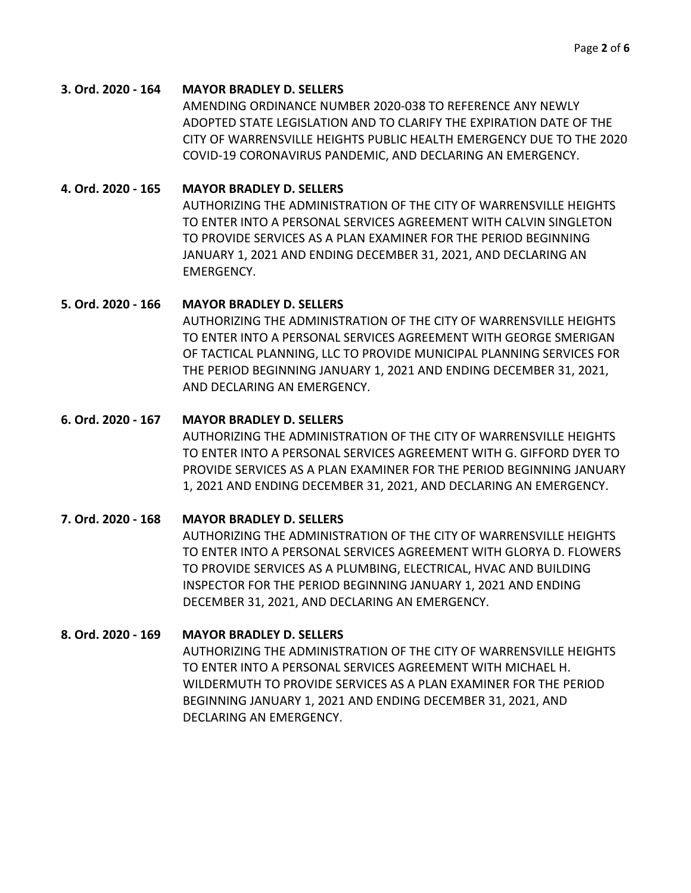#### **3. Ord. 2020 - 164 MAYOR BRADLEY D. SELLERS**

AMENDING ORDINANCE NUMBER 2020-038 TO REFERENCE ANY NEWLY ADOPTED STATE LEGISLATION AND TO CLARIFY THE EXPIRATION DATE OF THE CITY OF WARRENSVILLE HEIGHTS PUBLIC HEALTH EMERGENCY DUE TO THE 2020 COVID-19 CORONAVIRUS PANDEMIC, AND DECLARING AN EMERGENCY.

#### **4. Ord. 2020 - 165 MAYOR BRADLEY D. SELLERS**

AUTHORIZING THE ADMINISTRATION OF THE CITY OF WARRENSVILLE HEIGHTS TO ENTER INTO A PERSONAL SERVICES AGREEMENT WITH CALVIN SINGLETON TO PROVIDE SERVICES AS A PLAN EXAMINER FOR THE PERIOD BEGINNING JANUARY 1, 2021 AND ENDING DECEMBER 31, 2021, AND DECLARING AN EMERGENCY.

#### **5. Ord. 2020 - 166 MAYOR BRADLEY D. SELLERS**

AUTHORIZING THE ADMINISTRATION OF THE CITY OF WARRENSVILLE HEIGHTS TO ENTER INTO A PERSONAL SERVICES AGREEMENT WITH GEORGE SMERIGAN OF TACTICAL PLANNING, LLC TO PROVIDE MUNICIPAL PLANNING SERVICES FOR THE PERIOD BEGINNING JANUARY 1, 2021 AND ENDING DECEMBER 31, 2021, AND DECLARING AN EMERGENCY.

#### **6. Ord. 2020 - 167 MAYOR BRADLEY D. SELLERS**

AUTHORIZING THE ADMINISTRATION OF THE CITY OF WARRENSVILLE HEIGHTS TO ENTER INTO A PERSONAL SERVICES AGREEMENT WITH G. GIFFORD DYER TO PROVIDE SERVICES AS A PLAN EXAMINER FOR THE PERIOD BEGINNING JANUARY 1, 2021 AND ENDING DECEMBER 31, 2021, AND DECLARING AN EMERGENCY.

# **7. Ord. 2020 - 168 MAYOR BRADLEY D. SELLERS** AUTHORIZING THE ADMINISTRATION OF THE CITY OF WARRENSVILLE HEIGHTS TO ENTER INTO A PERSONAL SERVICES AGREEMENT WITH GLORYA D. FLOWERS TO PROVIDE SERVICES AS A PLUMBING, ELECTRICAL, HVAC AND BUILDING INSPECTOR FOR THE PERIOD BEGINNING JANUARY 1, 2021 AND ENDING DECEMBER 31, 2021, AND DECLARING AN EMERGENCY.

# **8. Ord. 2020 - 169 MAYOR BRADLEY D. SELLERS**

AUTHORIZING THE ADMINISTRATION OF THE CITY OF WARRENSVILLE HEIGHTS TO ENTER INTO A PERSONAL SERVICES AGREEMENT WITH MICHAEL H. WILDERMUTH TO PROVIDE SERVICES AS A PLAN EXAMINER FOR THE PERIOD BEGINNING JANUARY 1, 2021 AND ENDING DECEMBER 31, 2021, AND DECLARING AN EMERGENCY.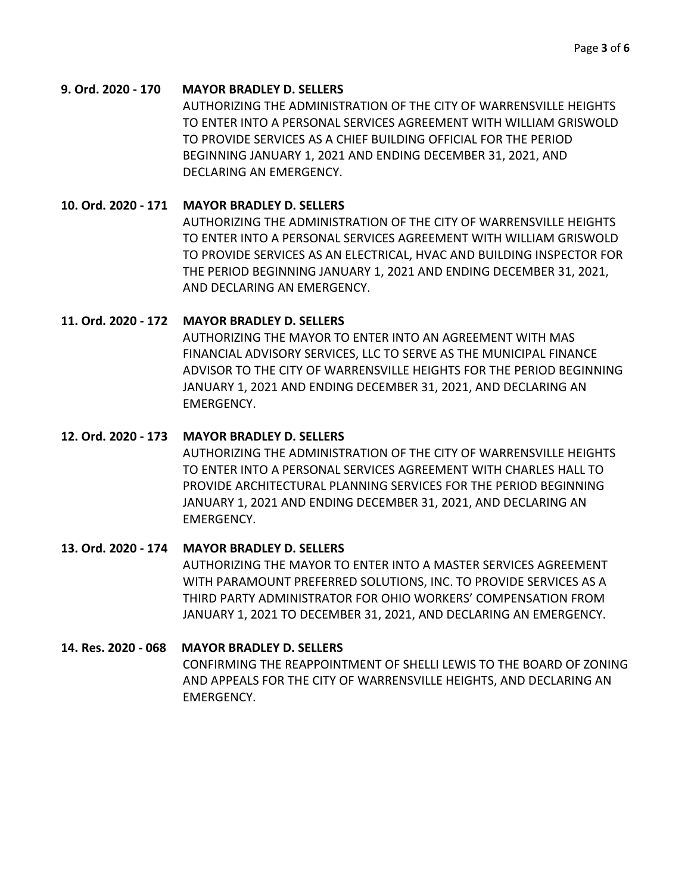### **9. Ord. 2020 - 170 MAYOR BRADLEY D. SELLERS**

AUTHORIZING THE ADMINISTRATION OF THE CITY OF WARRENSVILLE HEIGHTS TO ENTER INTO A PERSONAL SERVICES AGREEMENT WITH WILLIAM GRISWOLD TO PROVIDE SERVICES AS A CHIEF BUILDING OFFICIAL FOR THE PERIOD BEGINNING JANUARY 1, 2021 AND ENDING DECEMBER 31, 2021, AND DECLARING AN EMERGENCY.

# **10. Ord. 2020 - 171 MAYOR BRADLEY D. SELLERS**

AUTHORIZING THE ADMINISTRATION OF THE CITY OF WARRENSVILLE HEIGHTS TO ENTER INTO A PERSONAL SERVICES AGREEMENT WITH WILLIAM GRISWOLD TO PROVIDE SERVICES AS AN ELECTRICAL, HVAC AND BUILDING INSPECTOR FOR THE PERIOD BEGINNING JANUARY 1, 2021 AND ENDING DECEMBER 31, 2021, AND DECLARING AN EMERGENCY.

# **11. Ord. 2020 - 172 MAYOR BRADLEY D. SELLERS**

AUTHORIZING THE MAYOR TO ENTER INTO AN AGREEMENT WITH MAS FINANCIAL ADVISORY SERVICES, LLC TO SERVE AS THE MUNICIPAL FINANCE ADVISOR TO THE CITY OF WARRENSVILLE HEIGHTS FOR THE PERIOD BEGINNING JANUARY 1, 2021 AND ENDING DECEMBER 31, 2021, AND DECLARING AN EMERGENCY.

# **12. Ord. 2020 - 173 MAYOR BRADLEY D. SELLERS**

AUTHORIZING THE ADMINISTRATION OF THE CITY OF WARRENSVILLE HEIGHTS TO ENTER INTO A PERSONAL SERVICES AGREEMENT WITH CHARLES HALL TO PROVIDE ARCHITECTURAL PLANNING SERVICES FOR THE PERIOD BEGINNING JANUARY 1, 2021 AND ENDING DECEMBER 31, 2021, AND DECLARING AN EMERGENCY.

#### **13. Ord. 2020 - 174 MAYOR BRADLEY D. SELLERS**

AUTHORIZING THE MAYOR TO ENTER INTO A MASTER SERVICES AGREEMENT WITH PARAMOUNT PREFERRED SOLUTIONS, INC. TO PROVIDE SERVICES AS A THIRD PARTY ADMINISTRATOR FOR OHIO WORKERS' COMPENSATION FROM JANUARY 1, 2021 TO DECEMBER 31, 2021, AND DECLARING AN EMERGENCY.

# **14. Res. 2020 - 068 MAYOR BRADLEY D. SELLERS**

CONFIRMING THE REAPPOINTMENT OF SHELLI LEWIS TO THE BOARD OF ZONING AND APPEALS FOR THE CITY OF WARRENSVILLE HEIGHTS, AND DECLARING AN EMERGENCY.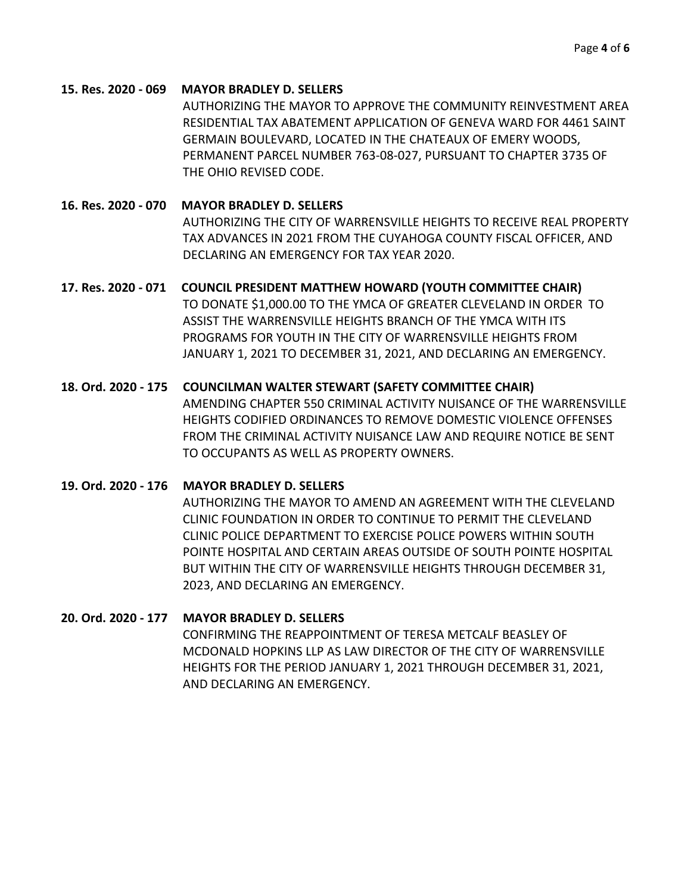# **15. Res. 2020 - 069 MAYOR BRADLEY D. SELLERS**

AUTHORIZING THE MAYOR TO APPROVE THE COMMUNITY REINVESTMENT AREA RESIDENTIAL TAX ABATEMENT APPLICATION OF GENEVA WARD FOR 4461 SAINT GERMAIN BOULEVARD, LOCATED IN THE CHATEAUX OF EMERY WOODS, PERMANENT PARCEL NUMBER 763-08-027, PURSUANT TO CHAPTER 3735 OF THE OHIO REVISED CODE.

**16. Res. 2020 - 070 MAYOR BRADLEY D. SELLERS** AUTHORIZING THE CITY OF WARRENSVILLE HEIGHTS TO RECEIVE REAL PROPERTY TAX ADVANCES IN 2021 FROM THE CUYAHOGA COUNTY FISCAL OFFICER, AND DECLARING AN EMERGENCY FOR TAX YEAR 2020.

**17. Res. 2020 - 071 COUNCIL PRESIDENT MATTHEW HOWARD (YOUTH COMMITTEE CHAIR)** TO DONATE \$1,000.00 TO THE YMCA OF GREATER CLEVELAND IN ORDER TO ASSIST THE WARRENSVILLE HEIGHTS BRANCH OF THE YMCA WITH ITS PROGRAMS FOR YOUTH IN THE CITY OF WARRENSVILLE HEIGHTS FROM JANUARY 1, 2021 TO DECEMBER 31, 2021, AND DECLARING AN EMERGENCY.

# **18. Ord. 2020 - 175 COUNCILMAN WALTER STEWART (SAFETY COMMITTEE CHAIR)**

AMENDING CHAPTER 550 CRIMINAL ACTIVITY NUISANCE OF THE WARRENSVILLE HEIGHTS CODIFIED ORDINANCES TO REMOVE DOMESTIC VIOLENCE OFFENSES FROM THE CRIMINAL ACTIVITY NUISANCE LAW AND REQUIRE NOTICE BE SENT TO OCCUPANTS AS WELL AS PROPERTY OWNERS.

#### **19. Ord. 2020 - 176 MAYOR BRADLEY D. SELLERS**

AUTHORIZING THE MAYOR TO AMEND AN AGREEMENT WITH THE CLEVELAND CLINIC FOUNDATION IN ORDER TO CONTINUE TO PERMIT THE CLEVELAND CLINIC POLICE DEPARTMENT TO EXERCISE POLICE POWERS WITHIN SOUTH POINTE HOSPITAL AND CERTAIN AREAS OUTSIDE OF SOUTH POINTE HOSPITAL BUT WITHIN THE CITY OF WARRENSVILLE HEIGHTS THROUGH DECEMBER 31, 2023, AND DECLARING AN EMERGENCY.

#### **20. Ord. 2020 - 177 MAYOR BRADLEY D. SELLERS**

CONFIRMING THE REAPPOINTMENT OF TERESA METCALF BEASLEY OF MCDONALD HOPKINS LLP AS LAW DIRECTOR OF THE CITY OF WARRENSVILLE HEIGHTS FOR THE PERIOD JANUARY 1, 2021 THROUGH DECEMBER 31, 2021, AND DECLARING AN EMERGENCY.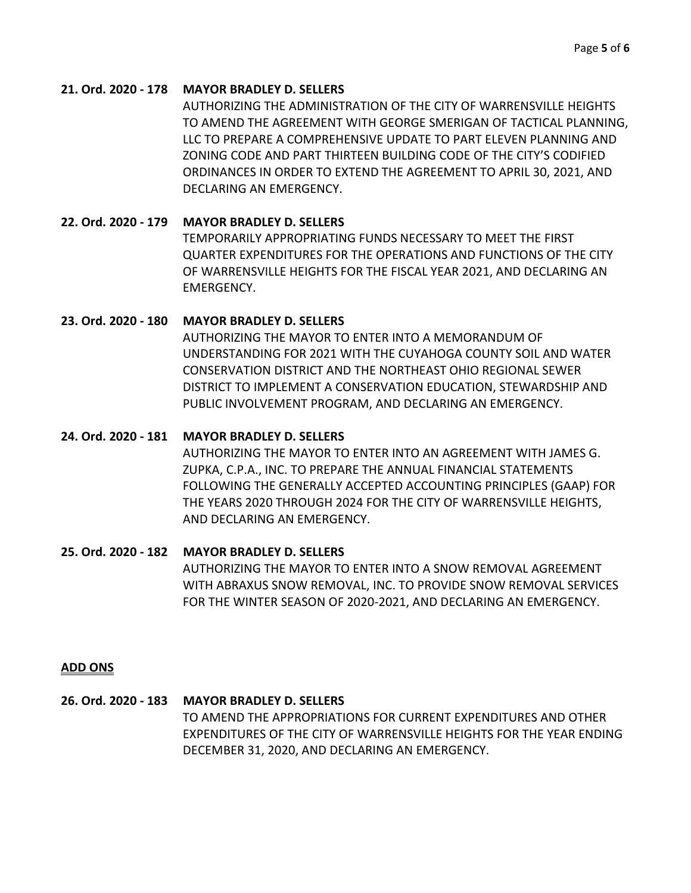# **21. Ord. 2020 - 178 MAYOR BRADLEY D. SELLERS**

AUTHORIZING THE ADMINISTRATION OF THE CITY OF WARRENSVILLE HEIGHTS TO AMEND THE AGREEMENT WITH GEORGE SMERIGAN OF TACTICAL PLANNING, LLC TO PREPARE A COMPREHENSIVE UPDATE TO PART ELEVEN PLANNING AND ZONING CODE AND PART THIRTEEN BUILDING CODE OF THE CITY'S CODIFIED ORDINANCES IN ORDER TO EXTEND THE AGREEMENT TO APRIL 30, 2021, AND DECLARING AN EMERGENCY.

# **22. Ord. 2020 - 179 MAYOR BRADLEY D. SELLERS**

TEMPORARILY APPROPRIATING FUNDS NECESSARY TO MEET THE FIRST QUARTER EXPENDITURES FOR THE OPERATIONS AND FUNCTIONS OF THE CITY OF WARRENSVILLE HEIGHTS FOR THE FISCAL YEAR 2021, AND DECLARING AN EMERGENCY.

# **23. Ord. 2020 - 180 MAYOR BRADLEY D. SELLERS**

AUTHORIZING THE MAYOR TO ENTER INTO A MEMORANDUM OF UNDERSTANDING FOR 2021 WITH THE CUYAHOGA COUNTY SOIL AND WATER CONSERVATION DISTRICT AND THE NORTHEAST OHIO REGIONAL SEWER DISTRICT TO IMPLEMENT A CONSERVATION EDUCATION, STEWARDSHIP AND PUBLIC INVOLVEMENT PROGRAM, AND DECLARING AN EMERGENCY.

# **24. Ord. 2020 - 181 MAYOR BRADLEY D. SELLERS**

AUTHORIZING THE MAYOR TO ENTER INTO AN AGREEMENT WITH JAMES G. ZUPKA, C.P.A., INC. TO PREPARE THE ANNUAL FINANCIAL STATEMENTS FOLLOWING THE GENERALLY ACCEPTED ACCOUNTING PRINCIPLES (GAAP) FOR THE YEARS 2020 THROUGH 2024 FOR THE CITY OF WARRENSVILLE HEIGHTS, AND DECLARING AN EMERGENCY.

# **25. Ord. 2020 - 182 MAYOR BRADLEY D. SELLERS**

AUTHORIZING THE MAYOR TO ENTER INTO A SNOW REMOVAL AGREEMENT WITH ABRAXUS SNOW REMOVAL, INC. TO PROVIDE SNOW REMOVAL SERVICES FOR THE WINTER SEASON OF 2020-2021, AND DECLARING AN EMERGENCY.

#### **ADD ONS**

#### **26. Ord. 2020 - 183 MAYOR BRADLEY D. SELLERS**

TO AMEND THE APPROPRIATIONS FOR CURRENT EXPENDITURES AND OTHER EXPENDITURES OF THE CITY OF WARRENSVILLE HEIGHTS FOR THE YEAR ENDING DECEMBER 31, 2020, AND DECLARING AN EMERGENCY.